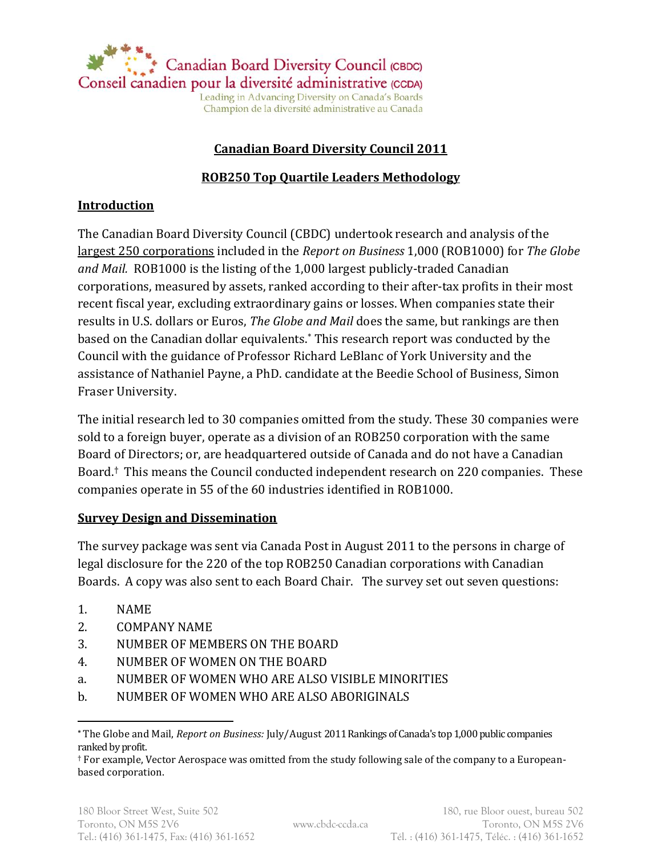

Leading in Advancing Diversity on Canada's Boards Champion de la diversité administrative au Canada

## **Canadian Board Diversity Council 2011**

### **ROB250 Top Quartile Leaders Methodology**

#### **Introduction**

The Canadian Board Diversity Council (CBDC) undertook research and analysis of the largest 250 corporations included in the *Report on Business* 1,000 (ROB1000) for *The Globe and Mail.* ROB1000 is the listing of the 1,000 largest publicly-traded Canadian corporations, measured by assets, ranked according to their after-tax profits in their most recent fiscal year, excluding extraordinary gains or losses. When companies state their results in U.S. dollars or Euros, *The Globe and Mail* does the same, but rankings are then based on the Canadian dollar equivalents.\* This research report was conducted by the Council with the guidance of Professor Richard LeBlanc of York University and the assistance of Nathaniel Payne, a PhD. candidate at the Beedie School of Business, Simon Fraser University.

The initial research led to 30 companies omitted from the study. These 30 companies were sold to a foreign buyer, operate as a division of an ROB250 corporation with the same Board of Directors; or, are headquartered outside of Canada and do not have a Canadian Board. † This means the Council conducted independent research on 220 companies. These companies operate in 55 of the 60 industries identified in ROB1000.

#### **Survey Design and Dissemination**

The survey package was sent via Canada Post in August 2011 to the persons in charge of legal disclosure for the 220 of the top ROB250 Canadian corporations with Canadian Boards. A copy was also sent to each Board Chair. The survey set out seven questions:

1. NAME

 $\overline{a}$ 

- 2. COMPANY NAME
- 3. NUMBER OF MEMBERS ON THE BOARD
- 4. NUMBER OF WOMEN ON THE BOARD
- a. NUMBER OF WOMEN WHO ARE ALSO VISIBLE MINORITIES
- b. NUMBER OF WOMEN WHO ARE ALSO ABORIGINALS

**<sup>\*</sup>** The Globe and Mail, *Report on Business:* July/August 2011 Rankings of Canada's top 1,000 public companies ranked by profit.

<sup>†</sup> For example, Vector Aerospace was omitted from the study following sale of the company to a Europeanbased corporation.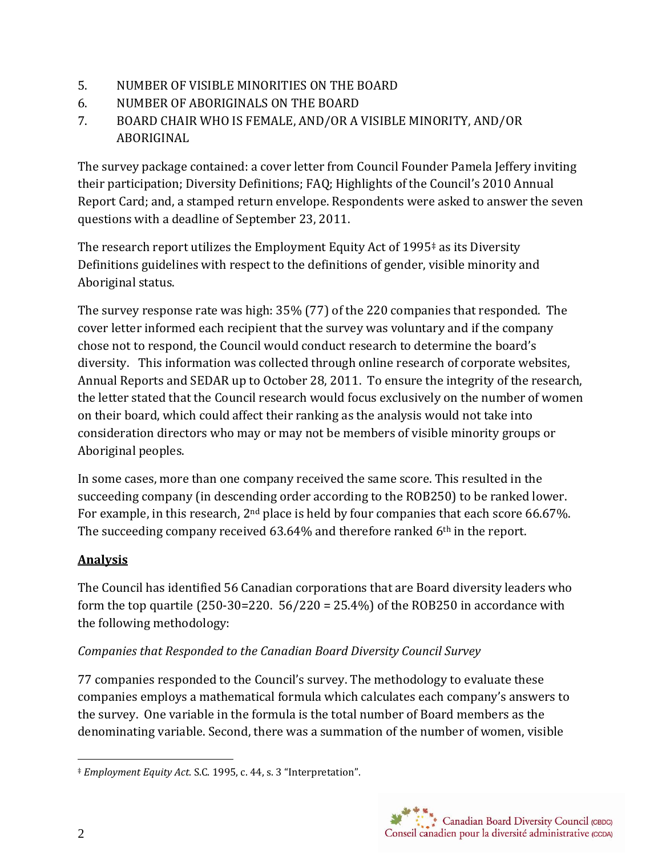- 5. NUMBER OF VISIBLE MINORITIES ON THE BOARD
- 6. NUMBER OF ABORIGINALS ON THE BOARD
- 7. BOARD CHAIR WHO IS FEMALE, AND/OR A VISIBLE MINORITY, AND/OR ABORIGINAL

The survey package contained: a cover letter from Council Founder Pamela Jeffery inviting their participation; Diversity Definitions; FAQ; Highlights of the Council's 2010 Annual Report Card; and, a stamped return envelope. Respondents were asked to answer the seven questions with a deadline of September 23, 2011.

The research report utilizes the Employment Equity Act of 1995‡ as its Diversity Definitions guidelines with respect to the definitions of gender, visible minority and Aboriginal status.

The survey response rate was high: 35% (77) of the 220 companies that responded. The cover letter informed each recipient that the survey was voluntary and if the company chose not to respond, the Council would conduct research to determine the board's diversity. This information was collected through online research of corporate websites, Annual Reports and SEDAR up to October 28, 2011. To ensure the integrity of the research, the letter stated that the Council research would focus exclusively on the number of women on their board, which could affect their ranking as the analysis would not take into consideration directors who may or may not be members of visible minority groups or Aboriginal peoples.

In some cases, more than one company received the same score. This resulted in the succeeding company (in descending order according to the ROB250) to be ranked lower. For example, in this research, 2<sup>nd</sup> place is held by four companies that each score 66.67%. The succeeding company received 63.64% and therefore ranked 6<sup>th</sup> in the report.

# **Analysis**

The Council has identified 56 Canadian corporations that are Board diversity leaders who form the top quartile  $(250-30=220.56/220=25.4%)$  of the ROB250 in accordance with the following methodology:

## *Companies that Responded to the Canadian Board Diversity Council Survey*

77 companies responded to the Council's survey. The methodology to evaluate these companies employs a mathematical formula which calculates each company's answers to the survey. One variable in the formula is the total number of Board members as the denominating variable. Second, there was a summation of the number of women, visible

 $\overline{a}$ ‡ *Employment Equity Act*. S.C. 1995, c. 44, s. 3 "Interpretation".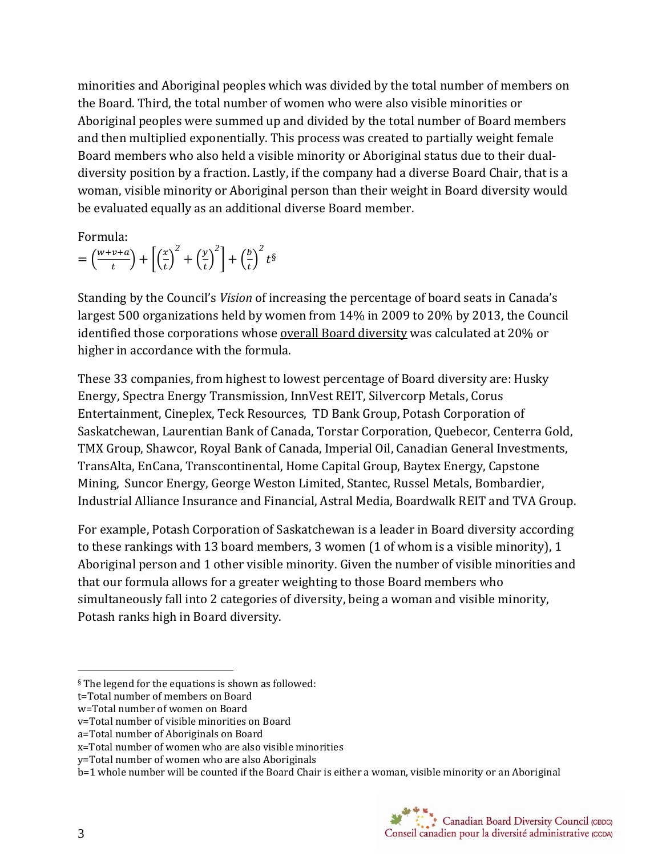minorities and Aboriginal peoples which was divided by the total number of members on the Board. Third, the total number of women who were also visible minorities or Aboriginal peoples were summed up and divided by the total number of Board members and then multiplied exponentially. This process was created to partially weight female Board members who also held a visible minority or Aboriginal status due to their dualdiversity position by a fraction. Lastly, if the company had a diverse Board Chair, that is a woman, visible minority or Aboriginal person than their weight in Board diversity would be evaluated equally as an additional diverse Board member.

Formula:

 $=\left(\frac{w}{2}\right)$  $\left(\frac{v+a}{t}\right) + \left(\frac{x}{t}\right)$  $\left(\frac{x}{t}\right)^2 + \left(\frac{y}{t}\right)^2$  $\left(\frac{y}{t}\right)^2 + \left(\frac{b}{t}\right)$  $\left(\frac{b}{t}\right)^2 t^{\S}$ 

Standing by the Council's *Vision* of increasing the percentage of board seats in Canada's largest 500 organizations held by women from 14% in 2009 to 20% by 2013, the Council identified those corporations whose overall Board diversity was calculated at 20% or higher in accordance with the formula.

These 33 companies, from highest to lowest percentage of Board diversity are: Husky Energy, Spectra Energy Transmission, InnVest REIT, Silvercorp Metals, Corus Entertainment, Cineplex, Teck Resources, TD Bank Group, Potash Corporation of Saskatchewan, Laurentian Bank of Canada, Torstar Corporation, Quebecor, Centerra Gold, TMX Group, Shawcor, Royal Bank of Canada, Imperial Oil, Canadian General Investments, TransAlta, EnCana, Transcontinental, Home Capital Group, Baytex Energy, Capstone Mining, Suncor Energy, George Weston Limited, Stantec, Russel Metals, Bombardier, Industrial Alliance Insurance and Financial, Astral Media, Boardwalk REIT and TVA Group.

For example, Potash Corporation of Saskatchewan is a leader in Board diversity according to these rankings with 13 board members, 3 women (1 of whom is a visible minority), 1 Aboriginal person and 1 other visible minority. Given the number of visible minorities and that our formula allows for a greater weighting to those Board members who simultaneously fall into 2 categories of diversity, being a woman and visible minority, Potash ranks high in Board diversity.

 $\overline{a}$ 

<sup>§</sup> The legend for the equations is shown as followed:

t=Total number of members on Board

w=Total number of women on Board

v=Total number of visible minorities on Board

a=Total number of Aboriginals on Board

x=Total number of women who are also visible minorities

y=Total number of women who are also Aboriginals

b=1 whole number will be counted if the Board Chair is either a woman, visible minority or an Aboriginal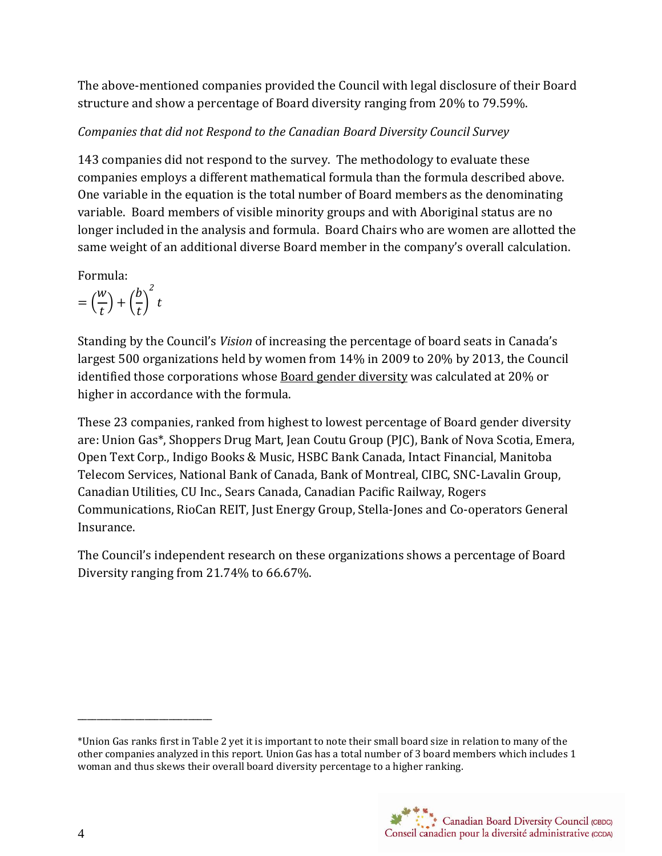The above-mentioned companies provided the Council with legal disclosure of their Board structure and show a percentage of Board diversity ranging from 20% to 79.59%.

# *Companies that did not Respond to the Canadian Board Diversity Council Survey*

143 companies did not respond to the survey. The methodology to evaluate these companies employs a different mathematical formula than the formula described above. One variable in the equation is the total number of Board members as the denominating variable. Board members of visible minority groups and with Aboriginal status are no longer included in the analysis and formula. Board Chairs who are women are allotted the same weight of an additional diverse Board member in the company's overall calculation.

Formula:

$$
= \left(\frac{w}{t}\right) + \left(\frac{b}{t}\right)^2 t
$$

Standing by the Council's *Vision* of increasing the percentage of board seats in Canada's largest 500 organizations held by women from 14% in 2009 to 20% by 2013, the Council identified those corporations whose **Board gender diversity** was calculated at 20% or higher in accordance with the formula.

These 23 companies, ranked from highest to lowest percentage of Board gender diversity are: Union Gas\*, Shoppers Drug Mart, Jean Coutu Group (PJC), Bank of Nova Scotia, Emera, Open Text Corp., Indigo Books & Music, HSBC Bank Canada, Intact Financial, Manitoba Telecom Services, National Bank of Canada, Bank of Montreal, CIBC, SNC-Lavalin Group, Canadian Utilities, CU Inc., Sears Canada, Canadian Pacific Railway, Rogers Communications, RioCan REIT, Just Energy Group, Stella-Jones and Co-operators General Insurance.

The Council's independent research on these organizations shows a percentage of Board Diversity ranging from 21.74% to 66.67%.

\_\_\_\_\_\_\_\_\_\_\_\_\_\_\_\_\_\_\_\_\_\_\_\_\_\_\_\_

<sup>\*</sup>Union Gas ranks first in Table 2 yet it is important to note their small board size in relation to many of the other companies analyzed in this report. Union Gas has a total number of 3 board members which includes 1 woman and thus skews their overall board diversity percentage to a higher ranking.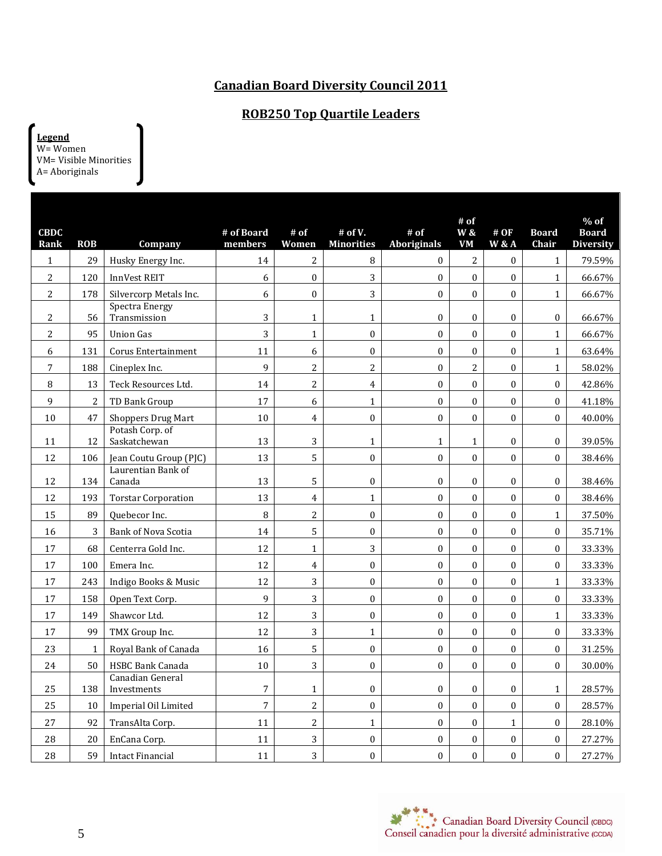## **Canadian Board Diversity Council 2011**

### **ROB250 Top Quartile Leaders**

**Legend** W= Women VM= Visible Minorities A= Aboriginals

| <b>CBDC</b><br>Rank | <b>ROB</b>     | Company                         | # of Board<br>members | $#$ of<br>Women         | # of V.<br><b>Minorities</b> | $#$ of<br><b>Aboriginals</b> | # of<br><b>W</b> &<br><b>VM</b> | #OF<br><b>W &amp; A</b> | <b>Board</b><br>Chair | $%$ of<br><b>Board</b><br><b>Diversity</b> |
|---------------------|----------------|---------------------------------|-----------------------|-------------------------|------------------------------|------------------------------|---------------------------------|-------------------------|-----------------------|--------------------------------------------|
| $\mathbf{1}$        | 29             | Husky Energy Inc.               | 14                    | $\overline{c}$          | 8                            | $\boldsymbol{0}$             | $\overline{c}$                  | $\mathbf{0}$            | $\mathbf{1}$          | 79.59%                                     |
| $\sqrt{2}$          | 120            | InnVest REIT                    | 6                     | $\boldsymbol{0}$        | 3                            | $\boldsymbol{0}$             | $\boldsymbol{0}$                | $\boldsymbol{0}$        | $\mathbf{1}$          | 66.67%                                     |
| $\overline{2}$      | 178            | Silvercorp Metals Inc.          | 6                     | $\boldsymbol{0}$        | 3                            | $\boldsymbol{0}$             | $\boldsymbol{0}$                | $\overline{0}$          | $\mathbf{1}$          | 66.67%                                     |
| $\overline{2}$      | 56             | Spectra Energy<br>Transmission  | 3                     | $\mathbf{1}$            | $\mathbf{1}$                 | $\boldsymbol{0}$             | $\boldsymbol{0}$                | $\boldsymbol{0}$        | $\boldsymbol{0}$      | 66.67%                                     |
| $\overline{c}$      | 95             | <b>Union Gas</b>                | 3                     | $\mathbf{1}$            | $\boldsymbol{0}$             | $\boldsymbol{0}$             | $\boldsymbol{0}$                | $\boldsymbol{0}$        | $\mathbf{1}$          | 66.67%                                     |
| 6                   | 131            | Corus Entertainment             | 11                    | 6                       | $\boldsymbol{0}$             | $\boldsymbol{0}$             | $\boldsymbol{0}$                | $\boldsymbol{0}$        | $\mathbf{1}$          | 63.64%                                     |
| 7                   | 188            | Cineplex Inc.                   | 9                     | 2                       | $\overline{2}$               | $\boldsymbol{0}$             | $\overline{c}$                  | $\boldsymbol{0}$        | $\mathbf{1}$          | 58.02%                                     |
| $\, 8$              | 13             | Teck Resources Ltd.             | 14                    | $\overline{c}$          | $\overline{\mathbf{4}}$      | $\boldsymbol{0}$             | $\boldsymbol{0}$                | $\boldsymbol{0}$        | $\boldsymbol{0}$      | 42.86%                                     |
| 9                   | $\overline{2}$ | TD Bank Group                   | 17                    | 6                       | $\mathbf{1}$                 | $\boldsymbol{0}$             | $\boldsymbol{0}$                | $\mathbf{0}$            | $\mathbf{0}$          | 41.18%                                     |
| 10                  | 47             | <b>Shoppers Drug Mart</b>       | 10                    | $\overline{4}$          | $\boldsymbol{0}$             | $\boldsymbol{0}$             | $\boldsymbol{0}$                | $\boldsymbol{0}$        | $\boldsymbol{0}$      | 40.00%                                     |
| 11                  | 12             | Potash Corp. of<br>Saskatchewan | 13                    | 3                       | 1                            | $\mathbf{1}$                 | $\mathbf{1}$                    | $\boldsymbol{0}$        | $\boldsymbol{0}$      | 39.05%                                     |
| 12                  | 106            | Jean Coutu Group (PJC)          | 13                    | 5                       | $\mathbf 0$                  | $\boldsymbol{0}$             | $\boldsymbol{0}$                | $\mathbf{0}$            | $\boldsymbol{0}$      | 38.46%                                     |
| 12                  | 134            | Laurentian Bank of<br>Canada    | 13                    | 5                       | $\boldsymbol{0}$             | $\boldsymbol{0}$             | $\boldsymbol{0}$                | $\boldsymbol{0}$        | $\mathbf{0}$          | 38.46%                                     |
| 12                  | 193            | <b>Torstar Corporation</b>      | 13                    | $\overline{4}$          | $\mathbf{1}$                 | $\boldsymbol{0}$             | $\boldsymbol{0}$                | $\boldsymbol{0}$        | $\mathbf{0}$          | 38.46%                                     |
| 15                  | 89             | Quebecor Inc.                   | 8                     | $\overline{c}$          | $\mathbf 0$                  | $\boldsymbol{0}$             | $\boldsymbol{0}$                | $\mathbf{0}$            | $\mathbf{1}$          | 37.50%                                     |
| 16                  | 3              | Bank of Nova Scotia             | 14                    | 5                       | $\boldsymbol{0}$             | $\boldsymbol{0}$             | $\boldsymbol{0}$                | $\boldsymbol{0}$        | $\boldsymbol{0}$      | 35.71%                                     |
| 17                  | 68             | Centerra Gold Inc.              | 12                    | $\mathbf{1}$            | 3                            | $\boldsymbol{0}$             | $\mathbf{0}$                    | $\boldsymbol{0}$        | $\boldsymbol{0}$      | 33.33%                                     |
| 17                  | 100            | Emera Inc.                      | 12                    | $\overline{\mathbf{4}}$ | $\boldsymbol{0}$             | $\boldsymbol{0}$             | $\boldsymbol{0}$                | $\boldsymbol{0}$        | $\boldsymbol{0}$      | 33.33%                                     |
| 17                  | 243            | Indigo Books & Music            | 12                    | 3                       | $\boldsymbol{0}$             | $\boldsymbol{0}$             | $\boldsymbol{0}$                | $\boldsymbol{0}$        | $\mathbf{1}$          | 33.33%                                     |
| 17                  | 158            | Open Text Corp.                 | 9                     | 3                       | $\boldsymbol{0}$             | $\boldsymbol{0}$             | $\boldsymbol{0}$                | $\boldsymbol{0}$        | $\boldsymbol{0}$      | 33.33%                                     |
| 17                  | 149            | Shawcor Ltd.                    | 12                    | 3                       | $\boldsymbol{0}$             | $\boldsymbol{0}$             | $\boldsymbol{0}$                | $\boldsymbol{0}$        | $\mathbf{1}$          | 33.33%                                     |
| 17                  | 99             | TMX Group Inc.                  | 12                    | 3                       | $\mathbf{1}$                 | $\boldsymbol{0}$             | $\mathbf{0}$                    | $\mathbf{0}$            | $\mathbf{0}$          | 33.33%                                     |
| 23                  | $\mathbf{1}$   | Royal Bank of Canada            | 16                    | 5                       | $\boldsymbol{0}$             | $\boldsymbol{0}$             | $\boldsymbol{0}$                | $\boldsymbol{0}$        | $\boldsymbol{0}$      | 31.25%                                     |
| 24                  | 50             | <b>HSBC Bank Canada</b>         | 10                    | 3                       | $\boldsymbol{0}$             | $\boldsymbol{0}$             | $\boldsymbol{0}$                | $\mathbf{0}$            | $\boldsymbol{0}$      | 30.00%                                     |
| 25                  | 138            | Canadian General<br>Investments | $\overline{7}$        | $\mathbf{1}$            | $\boldsymbol{0}$             | $\boldsymbol{0}$             | $\boldsymbol{0}$                | $\boldsymbol{0}$        | $\mathbf{1}$          | 28.57%                                     |
| 25                  | 10             | Imperial Oil Limited            | $\overline{7}$        | $\overline{2}$          | $\boldsymbol{0}$             | $\boldsymbol{0}$             | $\boldsymbol{0}$                | $\boldsymbol{0}$        | $\boldsymbol{0}$      | 28.57%                                     |
| 27                  | 92             | TransAlta Corp.                 | 11                    | $\overline{c}$          | $\mathbf{1}$                 | $\boldsymbol{0}$             | $\boldsymbol{0}$                | $\mathbf 1$             | $\boldsymbol{0}$      | 28.10%                                     |
| 28                  | 20             | EnCana Corp.                    | 11                    | 3                       | $\boldsymbol{0}$             | 0                            | $\boldsymbol{0}$                | $\boldsymbol{0}$        | $\boldsymbol{0}$      | 27.27%                                     |
| 28                  | 59             | Intact Financial                | 11                    | 3                       | $\boldsymbol{0}$             | $\boldsymbol{0}$             | $\boldsymbol{0}$                | $\mathbf{0}$            | $\boldsymbol{0}$      | 27.27%                                     |